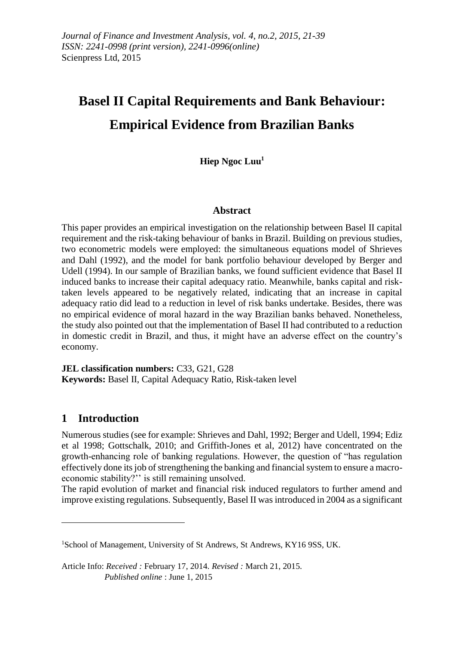# **Basel II Capital Requirements and Bank Behaviour: Empirical Evidence from Brazilian Banks**

**Hiep Ngoc Luu<sup>1</sup>**

## **Abstract**

This paper provides an empirical investigation on the relationship between Basel II capital requirement and the risk-taking behaviour of banks in Brazil. Building on previous studies, two econometric models were employed: the simultaneous equations model of Shrieves and Dahl (1992), and the model for bank portfolio behaviour developed by Berger and Udell (1994). In our sample of Brazilian banks, we found sufficient evidence that Basel II induced banks to increase their capital adequacy ratio. Meanwhile, banks capital and risktaken levels appeared to be negatively related, indicating that an increase in capital adequacy ratio did lead to a reduction in level of risk banks undertake. Besides, there was no empirical evidence of moral hazard in the way Brazilian banks behaved. Nonetheless, the study also pointed out that the implementation of Basel II had contributed to a reduction in domestic credit in Brazil, and thus, it might have an adverse effect on the country's economy.

**JEL classification numbers:** C33, G21, G28 **Keywords:** Basel II, Capital Adequacy Ratio, Risk-taken level

# **1 Introduction**

1

Numerous studies (see for example: Shrieves and Dahl, 1992; Berger and Udell, 1994; Ediz et al 1998; Gottschalk, 2010; and Griffith-Jones et al, 2012) have concentrated on the growth-enhancing role of banking regulations. However, the question of "has regulation effectively done its job of strengthening the banking and financial system to ensure a macroeconomic stability?'' is still remaining unsolved.

The rapid evolution of market and financial risk induced regulators to further amend and improve existing regulations. Subsequently, Basel II was introduced in 2004 as a significant

<sup>&</sup>lt;sup>1</sup>School of Management, University of St Andrews, St Andrews, KY16 9SS, UK.

Article Info: *Received :* February 17, 2014*. Revised :* March 21, 2015.  *Published online* : June 1, 2015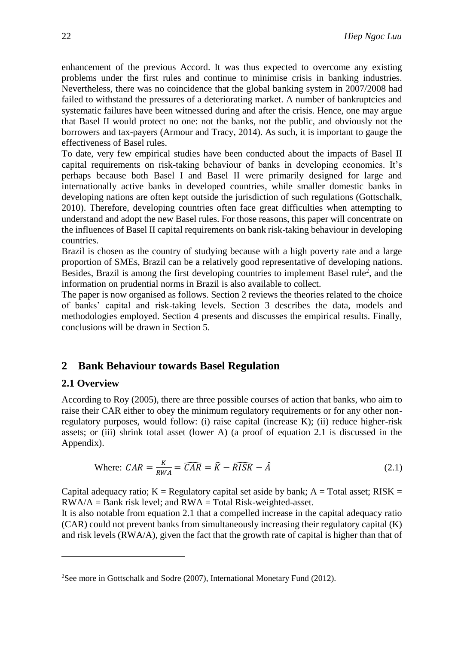enhancement of the previous Accord. It was thus expected to overcome any existing problems under the first rules and continue to minimise crisis in banking industries. Nevertheless, there was no coincidence that the global banking system in 2007/2008 had failed to withstand the pressures of a deteriorating market. A number of bankruptcies and systematic failures have been witnessed during and after the crisis. Hence, one may argue that Basel II would protect no one: not the banks, not the public, and obviously not the borrowers and tax-payers (Armour and Tracy, 2014). As such, it is important to gauge the effectiveness of Basel rules.

To date, very few empirical studies have been conducted about the impacts of Basel II capital requirements on risk-taking behaviour of banks in developing economies. It's perhaps because both Basel I and Basel II were primarily designed for large and internationally active banks in developed countries, while smaller domestic banks in developing nations are often kept outside the jurisdiction of such regulations (Gottschalk, 2010). Therefore, developing countries often face great difficulties when attempting to understand and adopt the new Basel rules. For those reasons, this paper will concentrate on the influences of Basel II capital requirements on bank risk-taking behaviour in developing countries.

Brazil is chosen as the country of studying because with a high poverty rate and a large proportion of SMEs, Brazil can be a relatively good representative of developing nations. Besides, Brazil is among the first developing countries to implement Basel rule<sup>2</sup>, and the information on prudential norms in Brazil is also available to collect.

The paper is now organised as follows. Section 2 reviews the theories related to the choice of banks' capital and risk-taking levels. Section 3 describes the data, models and methodologies employed. Section 4 presents and discusses the empirical results. Finally, conclusions will be drawn in Section 5.

# **2 Bank Behaviour towards Basel Regulation**

#### **2.1 Overview**

1

According to Roy (2005), there are three possible courses of action that banks, who aim to raise their CAR either to obey the minimum regulatory requirements or for any other nonregulatory purposes, would follow: (i) raise capital (increase K); (ii) reduce higher-risk assets; or (iii) shrink total asset (lower A) (a proof of equation 2.1 is discussed in the Appendix).

Where: 
$$
CAR = \frac{\kappa}{RWA} = \widehat{CAR} = \widehat{R} - \widehat{RISK} - \hat{A}
$$
 (2.1)

Capital adequacy ratio;  $K =$  Regulatory capital set aside by bank;  $A =$  Total asset; RISK =  $RWA/A = Bank risk level$ ; and  $RWA = Total Risk-weighted-asset$ .

It is also notable from equation 2.1 that a compelled increase in the capital adequacy ratio (CAR) could not prevent banks from simultaneously increasing their regulatory capital (K) and risk levels (RWA/A), given the fact that the growth rate of capital is higher than that of

<sup>&</sup>lt;sup>2</sup>See more in Gottschalk and Sodre (2007), International Monetary Fund (2012).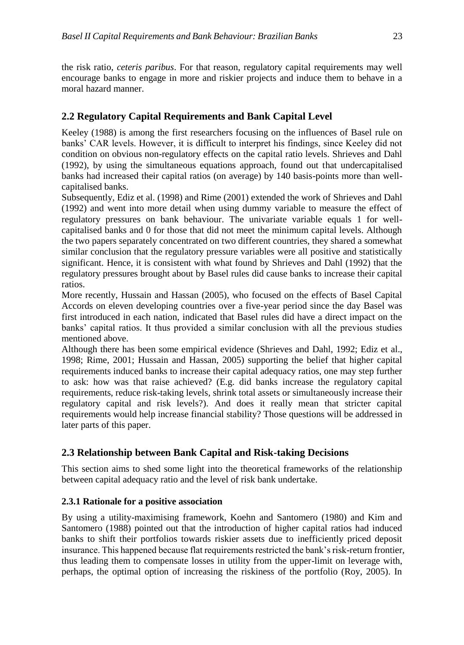the risk ratio, *ceteris paribus*. For that reason, regulatory capital requirements may well encourage banks to engage in more and riskier projects and induce them to behave in a moral hazard manner.

## **2.2 Regulatory Capital Requirements and Bank Capital Level**

Keeley (1988) is among the first researchers focusing on the influences of Basel rule on banks' CAR levels. However, it is difficult to interpret his findings, since Keeley did not condition on obvious non-regulatory effects on the capital ratio levels. Shrieves and Dahl (1992), by using the simultaneous equations approach, found out that undercapitalised banks had increased their capital ratios (on average) by 140 basis-points more than wellcapitalised banks.

Subsequently, Ediz et al. (1998) and Rime (2001) extended the work of Shrieves and Dahl (1992) and went into more detail when using dummy variable to measure the effect of regulatory pressures on bank behaviour. The univariate variable equals 1 for wellcapitalised banks and 0 for those that did not meet the minimum capital levels. Although the two papers separately concentrated on two different countries, they shared a somewhat similar conclusion that the regulatory pressure variables were all positive and statistically significant. Hence, it is consistent with what found by Shrieves and Dahl (1992) that the regulatory pressures brought about by Basel rules did cause banks to increase their capital ratios.

More recently, Hussain and Hassan (2005), who focused on the effects of Basel Capital Accords on eleven developing countries over a five-year period since the day Basel was first introduced in each nation, indicated that Basel rules did have a direct impact on the banks' capital ratios. It thus provided a similar conclusion with all the previous studies mentioned above.

Although there has been some empirical evidence (Shrieves and Dahl, 1992; Ediz et al., 1998; Rime, 2001; Hussain and Hassan, 2005) supporting the belief that higher capital requirements induced banks to increase their capital adequacy ratios, one may step further to ask: how was that raise achieved? (E.g. did banks increase the regulatory capital requirements, reduce risk-taking levels, shrink total assets or simultaneously increase their regulatory capital and risk levels?). And does it really mean that stricter capital requirements would help increase financial stability? Those questions will be addressed in later parts of this paper.

# **2.3 Relationship between Bank Capital and Risk-taking Decisions**

This section aims to shed some light into the theoretical frameworks of the relationship between capital adequacy ratio and the level of risk bank undertake.

#### **2.3.1 Rationale for a positive association**

By using a utility-maximising framework, Koehn and Santomero (1980) and Kim and Santomero (1988) pointed out that the introduction of higher capital ratios had induced banks to shift their portfolios towards riskier assets due to inefficiently priced deposit insurance. This happened because flat requirements restricted the bank's risk-return frontier, thus leading them to compensate losses in utility from the upper-limit on leverage with, perhaps, the optimal option of increasing the riskiness of the portfolio (Roy, 2005). In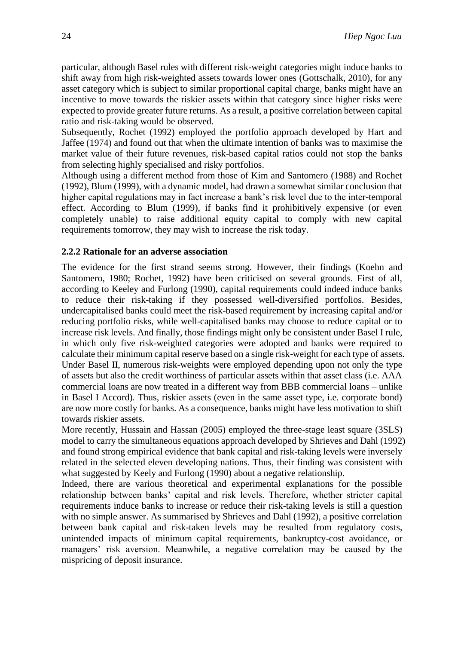particular, although Basel rules with different risk-weight categories might induce banks to shift away from high risk-weighted assets towards lower ones (Gottschalk, 2010), for any asset category which is subject to similar proportional capital charge, banks might have an incentive to move towards the riskier assets within that category since higher risks were expected to provide greater future returns. As a result, a positive correlation between capital ratio and risk-taking would be observed.

Subsequently, Rochet (1992) employed the portfolio approach developed by Hart and Jaffee (1974) and found out that when the ultimate intention of banks was to maximise the market value of their future revenues, risk-based capital ratios could not stop the banks from selecting highly specialised and risky portfolios.

Although using a different method from those of Kim and Santomero (1988) and Rochet (1992), Blum (1999), with a dynamic model, had drawn a somewhat similar conclusion that higher capital regulations may in fact increase a bank's risk level due to the inter-temporal effect. According to Blum (1999), if banks find it prohibitively expensive (or even completely unable) to raise additional equity capital to comply with new capital requirements tomorrow, they may wish to increase the risk today.

#### **2.2.2 Rationale for an adverse association**

The evidence for the first strand seems strong. However, their findings (Koehn and Santomero, 1980; Rochet, 1992) have been criticised on several grounds. First of all, according to Keeley and Furlong (1990), capital requirements could indeed induce banks to reduce their risk-taking if they possessed well-diversified portfolios. Besides, undercapitalised banks could meet the risk-based requirement by increasing capital and/or reducing portfolio risks, while well-capitalised banks may choose to reduce capital or to increase risk levels. And finally, those findings might only be consistent under Basel I rule, in which only five risk-weighted categories were adopted and banks were required to calculate their minimum capital reserve based on a single risk-weight for each type of assets. Under Basel II, numerous risk-weights were employed depending upon not only the type of assets but also the credit worthiness of particular assets within that asset class (i.e. AAA commercial loans are now treated in a different way from BBB commercial loans – unlike in Basel I Accord). Thus, riskier assets (even in the same asset type, i.e. corporate bond) are now more costly for banks. As a consequence, banks might have less motivation to shift towards riskier assets.

More recently, Hussain and Hassan (2005) employed the three-stage least square (3SLS) model to carry the simultaneous equations approach developed by Shrieves and Dahl (1992) and found strong empirical evidence that bank capital and risk-taking levels were inversely related in the selected eleven developing nations. Thus, their finding was consistent with what suggested by Keely and Furlong (1990) about a negative relationship.

Indeed, there are various theoretical and experimental explanations for the possible relationship between banks' capital and risk levels. Therefore, whether stricter capital requirements induce banks to increase or reduce their risk-taking levels is still a question with no simple answer. As summarised by Shrieves and Dahl (1992), a positive correlation between bank capital and risk-taken levels may be resulted from regulatory costs, unintended impacts of minimum capital requirements, bankruptcy-cost avoidance, or managers' risk aversion. Meanwhile, a negative correlation may be caused by the mispricing of deposit insurance.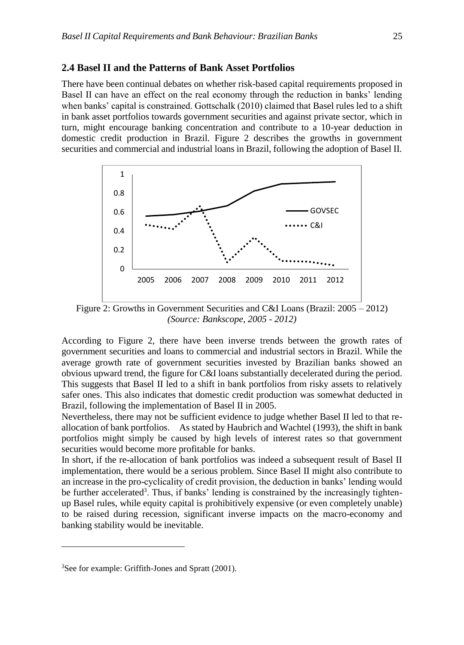#### **2.4 Basel II and the Patterns of Bank Asset Portfolios**

There have been continual debates on whether risk-based capital requirements proposed in Basel II can have an effect on the real economy through the reduction in banks' lending when banks' capital is constrained. Gottschalk (2010) claimed that Basel rules led to a shift in bank asset portfolios towards government securities and against private sector, which in turn, might encourage banking concentration and contribute to a 10-year deduction in domestic credit production in Brazil. Figure 2 describes the growths in government securities and commercial and industrial loans in Brazil, following the adoption of Basel II.



Figure 2: Growths in Government Securities and C&I Loans (Brazil: 2005 – 2012) *(Source: Bankscope, 2005 - 2012)*

According to Figure 2, there have been inverse trends between the growth rates of government securities and loans to commercial and industrial sectors in Brazil. While the average growth rate of government securities invested by Brazilian banks showed an obvious upward trend, the figure for C&I loans substantially decelerated during the period. This suggests that Basel II led to a shift in bank portfolios from risky assets to relatively safer ones. This also indicates that domestic credit production was somewhat deducted in Brazil, following the implementation of Basel II in 2005.

Nevertheless, there may not be sufficient evidence to judge whether Basel II led to that reallocation of bank portfolios. As stated by Haubrich and Wachtel (1993), the shift in bank portfolios might simply be caused by high levels of interest rates so that government securities would become more profitable for banks.

In short, if the re-allocation of bank portfolios was indeed a subsequent result of Basel II implementation, there would be a serious problem. Since Basel II might also contribute to an increase in the pro-cyclicality of credit provision, the deduction in banks' lending would be further accelerated<sup>3</sup>. Thus, if banks' lending is constrained by the increasingly tightenup Basel rules, while equity capital is prohibitively expensive (or even completely unable) to be raised during recession, significant inverse impacts on the macro-economy and banking stability would be inevitable.

1

<sup>3</sup>See for example: Griffith-Jones and Spratt (2001).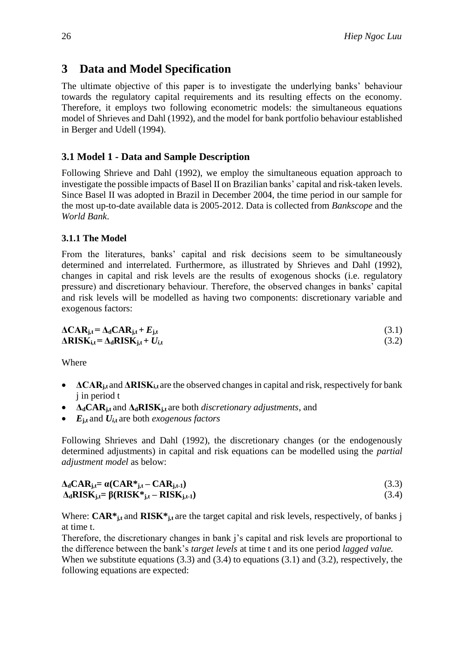# **3 Data and Model Specification**

The ultimate objective of this paper is to investigate the underlying banks' behaviour towards the regulatory capital requirements and its resulting effects on the economy. Therefore, it employs two following econometric models: the simultaneous equations model of Shrieves and Dahl (1992), and the model for bank portfolio behaviour established in Berger and Udell (1994).

# **3.1 Model 1 - Data and Sample Description**

Following Shrieve and Dahl (1992), we employ the simultaneous equation approach to investigate the possible impacts of Basel II on Brazilian banks' capital and risk-taken levels. Since Basel II was adopted in Brazil in December 2004, the time period in our sample for the most up-to-date available data is 2005-2012. Data is collected from *Bankscope* and the *World Bank*.

## **3.1.1 The Model**

From the literatures, banks' capital and risk decisions seem to be simultaneously determined and interrelated. Furthermore, as illustrated by Shrieves and Dahl (1992), changes in capital and risk levels are the results of exogenous shocks (i.e. regulatory pressure) and discretionary behaviour. Therefore, the observed changes in banks' capital and risk levels will be modelled as having two components: discretionary variable and exogenous factors:

$$
\Delta CAR_{j,t} = \Delta_d CAR_{j,t} + E_{j,t}
$$
\n
$$
\Delta RISK_{i,t} = \Delta_d RISK_{j,t} + U_{i,t}
$$
\n(3.1)\n(3.2)

Where

- **•**  $\Delta$ **CAR**<sub>i,t</sub> and  $\Delta$ **RISK**<sub>i,t</sub> are the observed changes in capital and risk, respectively for bank j in period t
- **ΔdCARj,t** and **ΔdRISKj,t** are both *discretionary adjustments*, and
- $E_{\text{j,t}}$  and  $U_{\text{i,t}}$  are both *exogenous factors*

Following Shrieves and Dahl (1992), the discretionary changes (or the endogenously determined adjustments) in capital and risk equations can be modelled using the *partial adjustment model* as below:

$$
\Delta_{d}CAR_{j,t} = \alpha(CAR^*_{j,t} - CAR_{j,t-1})
$$
\n
$$
\Delta_{d}RISK_{j,t} = \beta(RISK^*_{j,t} - RISK_{j,t-1})
$$
\n(3.3)\n(3.4)

Where: **CAR**<sup>\*</sup><sub>*j,t*</sub> and **RISK**<sup>\*</sup><sub>*j,t*</sub> are the target capital and risk levels, respectively, of banks j at time t.

Therefore, the discretionary changes in bank j's capital and risk levels are proportional to the difference between the bank's *target levels* at time t and its one period *lagged value.*  When we substitute equations  $(3.3)$  and  $(3.4)$  to equations  $(3.1)$  and  $(3.2)$ , respectively, the following equations are expected: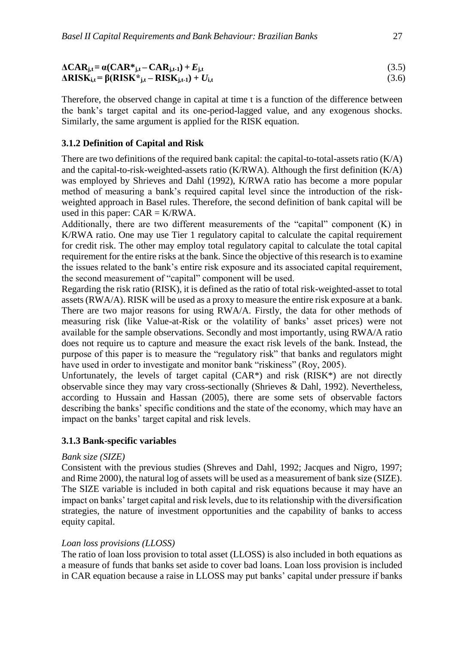| $\Delta \mathbf{CAR}_{j,t} = \alpha(\mathbf{CAR}_{j,t} - \mathbf{CAR}_{j,t-1}) + E_{j,t}$ | (3.5) |
|-------------------------------------------------------------------------------------------|-------|
| $\Delta RISK_{i,t} = \beta (RISK^*_{i,t} - RISK_{i,t-1}) + U_{i,t}$                       | (3.6) |

Therefore, the observed change in capital at time t is a function of the difference between the bank's target capital and its one-period-lagged value, and any exogenous shocks. Similarly, the same argument is applied for the RISK equation.

## **3.1.2 Definition of Capital and Risk**

There are two definitions of the required bank capital: the capital-to-total-assets ratio (K/A) and the capital-to-risk-weighted-assets ratio (K/RWA). Although the first definition (K/A) was employed by Shrieves and Dahl (1992), K/RWA ratio has become a more popular method of measuring a bank's required capital level since the introduction of the riskweighted approach in Basel rules. Therefore, the second definition of bank capital will be used in this paper:  $CAR = K/RWA$ .

Additionally, there are two different measurements of the "capital" component (K) in K/RWA ratio. One may use Tier 1 regulatory capital to calculate the capital requirement for credit risk. The other may employ total regulatory capital to calculate the total capital requirement for the entire risks at the bank. Since the objective of this research is to examine the issues related to the bank's entire risk exposure and its associated capital requirement, the second measurement of "capital" component will be used.

Regarding the risk ratio (RISK), it is defined as the ratio of total risk-weighted-asset to total assets (RWA/A). RISK will be used as a proxy to measure the entire risk exposure at a bank. There are two major reasons for using RWA/A. Firstly, the data for other methods of measuring risk (like Value-at-Risk or the volatility of banks' asset prices) were not available for the sample observations. Secondly and most importantly, using RWA/A ratio does not require us to capture and measure the exact risk levels of the bank. Instead, the purpose of this paper is to measure the "regulatory risk" that banks and regulators might have used in order to investigate and monitor bank "riskiness" (Roy, 2005).

Unfortunately, the levels of target capital  $(CAR^*)$  and risk  $(RISK^*)$  are not directly observable since they may vary cross-sectionally (Shrieves & Dahl, 1992). Nevertheless, according to Hussain and Hassan (2005), there are some sets of observable factors describing the banks' specific conditions and the state of the economy, which may have an impact on the banks' target capital and risk levels.

## **3.1.3 Bank-specific variables**

## *Bank size (SIZE)*

Consistent with the previous studies (Shreves and Dahl, 1992; Jacques and Nigro, 1997; and Rime 2000), the natural log of assets will be used as a measurement of bank size (SIZE). The SIZE variable is included in both capital and risk equations because it may have an impact on banks' target capital and risk levels, due to its relationship with the diversification strategies, the nature of investment opportunities and the capability of banks to access equity capital.

## *Loan loss provisions (LLOSS)*

The ratio of loan loss provision to total asset (LLOSS) is also included in both equations as a measure of funds that banks set aside to cover bad loans. Loan loss provision is included in CAR equation because a raise in LLOSS may put banks' capital under pressure if banks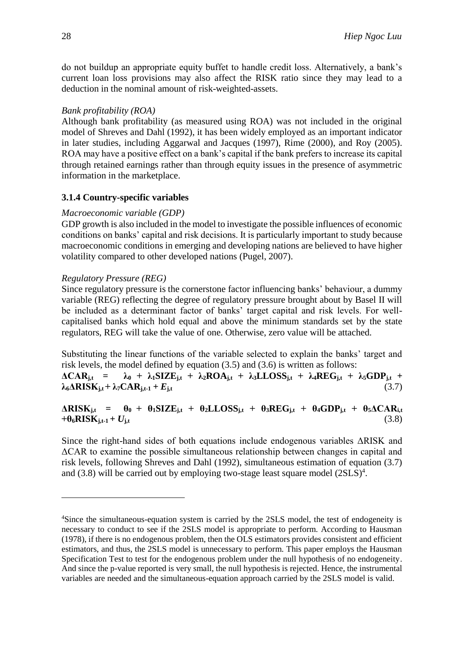do not buildup an appropriate equity buffet to handle credit loss. Alternatively, a bank's current loan loss provisions may also affect the RISK ratio since they may lead to a deduction in the nominal amount of risk-weighted-assets.

#### *Bank profitability (ROA)*

Although bank profitability (as measured using ROA) was not included in the original model of Shreves and Dahl (1992), it has been widely employed as an important indicator in later studies, including Aggarwal and Jacques (1997), Rime (2000), and Roy (2005). ROA may have a positive effect on a bank's capital if the bank prefers to increase its capital through retained earnings rather than through equity issues in the presence of asymmetric information in the marketplace.

#### **3.1.4 Country-specific variables**

#### *Macroeconomic variable (GDP)*

GDP growth is also included in the model to investigate the possible influences of economic conditions on banks' capital and risk decisions. It is particularly important to study because macroeconomic conditions in emerging and developing nations are believed to have higher volatility compared to other developed nations (Pugel, 2007).

#### *Regulatory Pressure (REG)*

1

Since regulatory pressure is the cornerstone factor influencing banks' behaviour, a dummy variable (REG) reflecting the degree of regulatory pressure brought about by Basel II will be included as a determinant factor of banks' target capital and risk levels. For wellcapitalised banks which hold equal and above the minimum standards set by the state regulators, REG will take the value of one. Otherwise, zero value will be attached.

Substituting the linear functions of the variable selected to explain the banks' target and risk levels, the model defined by equation (3.5) and (3.6) is written as follows:

 $\Delta CAR_{j,t}$  =  $\lambda_0$  +  $\lambda_1 SIZE_{j,t}$  +  $\lambda_2 ROA_{j,t}$  +  $\lambda_3 LLOSS_{j,t}$  +  $\lambda_4 REG_{j,t}$  +  $\lambda_5 GDP_{j,t}$  +  $\lambda_6 \Delta \text{RISK}_{\text{i,t}} + \lambda_7 \text{CAR}_{\text{i,t-1}} + E_{\text{j,t}}$  (3.7)

 $\triangle RISK_{j,t} = \theta_0 + \theta_1 SIZE_{j,t} + \theta_2 LLOSS_{j,t} + \theta_3 REG_{j,t} + \theta_4 GDP_{j,t} + \theta_5 \triangle CAR_{i,t}$  $+ \theta_6 \text{RISK}_{i,t-1} + U_{i,t}$  (3.8)

Since the right-hand sides of both equations include endogenous variables ΔRISK and ΔCAR to examine the possible simultaneous relationship between changes in capital and risk levels, following Shreves and Dahl (1992), simultaneous estimation of equation (3.7) and  $(3.8)$  will be carried out by employing two-stage least square model  $(2SLS)^4$ .

<sup>4</sup>Since the simultaneous-equation system is carried by the 2SLS model, the test of endogeneity is necessary to conduct to see if the 2SLS model is appropriate to perform. According to Hausman (1978), if there is no endogenous problem, then the OLS estimators provides consistent and efficient estimators, and thus, the 2SLS model is unnecessary to perform. This paper employs the Hausman Specification Test to test for the endogenous problem under the null hypothesis of no endogeneity. And since the p-value reported is very small, the null hypothesis is rejected. Hence, the instrumental variables are needed and the simultaneous-equation approach carried by the 2SLS model is valid.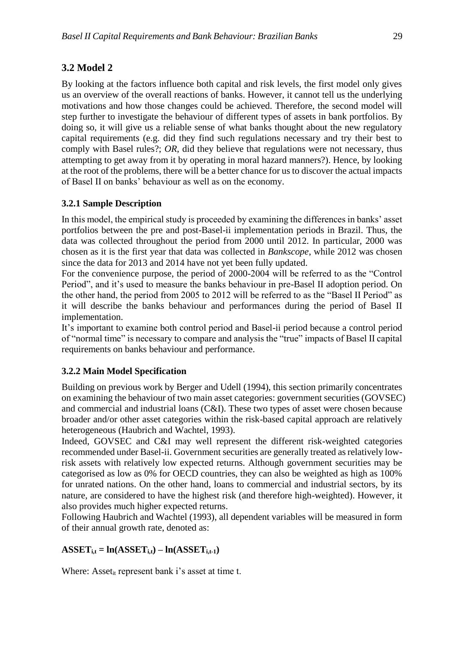# **3.2 Model 2**

By looking at the factors influence both capital and risk levels, the first model only gives us an overview of the overall reactions of banks. However, it cannot tell us the underlying motivations and how those changes could be achieved. Therefore, the second model will step further to investigate the behaviour of different types of assets in bank portfolios. By doing so, it will give us a reliable sense of what banks thought about the new regulatory capital requirements (e.g. did they find such regulations necessary and try their best to comply with Basel rules?; *OR*, did they believe that regulations were not necessary, thus attempting to get away from it by operating in moral hazard manners?). Hence, by looking at the root of the problems, there will be a better chance for us to discover the actual impacts of Basel II on banks' behaviour as well as on the economy.

## **3.2.1 Sample Description**

In this model, the empirical study is proceeded by examining the differences in banks' asset portfolios between the pre and post-Basel-ii implementation periods in Brazil. Thus, the data was collected throughout the period from 2000 until 2012. In particular, 2000 was chosen as it is the first year that data was collected in *Bankscope*, while 2012 was chosen since the data for 2013 and 2014 have not yet been fully updated.

For the convenience purpose, the period of 2000-2004 will be referred to as the "Control Period", and it's used to measure the banks behaviour in pre-Basel II adoption period. On the other hand, the period from 2005 to 2012 will be referred to as the "Basel II Period" as it will describe the banks behaviour and performances during the period of Basel II implementation.

It's important to examine both control period and Basel-ii period because a control period of "normal time" is necessary to compare and analysis the "true" impacts of Basel II capital requirements on banks behaviour and performance.

## **3.2.2 Main Model Specification**

Building on previous work by Berger and Udell (1994), this section primarily concentrates on examining the behaviour of two main asset categories: government securities (GOVSEC) and commercial and industrial loans (C&I). These two types of asset were chosen because broader and/or other asset categories within the risk-based capital approach are relatively heterogeneous (Haubrich and Wachtel, 1993).

Indeed, GOVSEC and C&I may well represent the different risk-weighted categories recommended under Basel-ii. Government securities are generally treated as relatively lowrisk assets with relatively low expected returns. Although government securities may be categorised as low as 0% for OECD countries, they can also be weighted as high as 100% for unrated nations. On the other hand, loans to commercial and industrial sectors, by its nature, are considered to have the highest risk (and therefore high-weighted). However, it also provides much higher expected returns.

Following Haubrich and Wachtel (1993), all dependent variables will be measured in form of their annual growth rate, denoted as:

# $\mathbf{ASSET}_{i,t} = \ln(\mathbf{ASSET}_{i,t}) - \ln(\mathbf{ASSET}_{i,t-1})$

Where: Asset<sub>it</sub> represent bank i's asset at time  $t$ .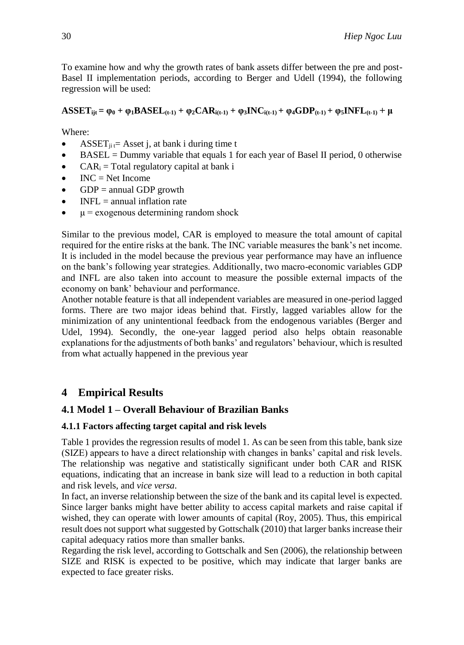To examine how and why the growth rates of bank assets differ between the pre and post-Basel II implementation periods, according to Berger and Udell (1994), the following regression will be used:

## $\text{ASSET}_{\text{ii}} = \varphi_0 + \varphi_1 \text{BASEL}_{\text{(t-1)}} + \varphi_2 \text{CAR}_{\text{i(t-1)}} + \varphi_3 \text{INC}_{\text{i(t-1)}} + \varphi_4 \text{GDP}_{\text{(t-1)}} + \varphi_5 \text{INFL}_{\text{(t-1)}} + \mu$

Where:

- ASSET<sub>ii</sub>  $=$  Asset j, at bank i during time t
- $\bullet$  BASEL = Dummy variable that equals 1 for each year of Basel II period, 0 otherwise
- $CAR_i = Total \, regulatory \, capital \,at \,bank \,i$
- $\bullet$  INC = Net Income
- $\bullet$  GDP = annual GDP growth
- $\bullet$  INFL = annual inflation rate
- $\cdot$   $\mu$  = exogenous determining random shock

Similar to the previous model, CAR is employed to measure the total amount of capital required for the entire risks at the bank. The INC variable measures the bank's net income. It is included in the model because the previous year performance may have an influence on the bank's following year strategies. Additionally, two macro-economic variables GDP and INFL are also taken into account to measure the possible external impacts of the economy on bank' behaviour and performance.

Another notable feature is that all independent variables are measured in one-period lagged forms. There are two major ideas behind that. Firstly, lagged variables allow for the minimization of any unintentional feedback from the endogenous variables (Berger and Udel, 1994). Secondly, the one-year lagged period also helps obtain reasonable explanations for the adjustments of both banks' and regulators' behaviour, which is resulted from what actually happened in the previous year

# **4 Empirical Results**

# **4.1 Model 1 – Overall Behaviour of Brazilian Banks**

## **4.1.1 Factors affecting target capital and risk levels**

Table 1 provides the regression results of model 1. As can be seen from this table, bank size (SIZE) appears to have a direct relationship with changes in banks' capital and risk levels. The relationship was negative and statistically significant under both CAR and RISK equations, indicating that an increase in bank size will lead to a reduction in both capital and risk levels, and *vice versa*.

In fact, an inverse relationship between the size of the bank and its capital level is expected. Since larger banks might have better ability to access capital markets and raise capital if wished, they can operate with lower amounts of capital (Roy, 2005). Thus, this empirical result does not support what suggested by Gottschalk (2010) that larger banks increase their capital adequacy ratios more than smaller banks.

Regarding the risk level, according to Gottschalk and Sen (2006), the relationship between SIZE and RISK is expected to be positive, which may indicate that larger banks are expected to face greater risks.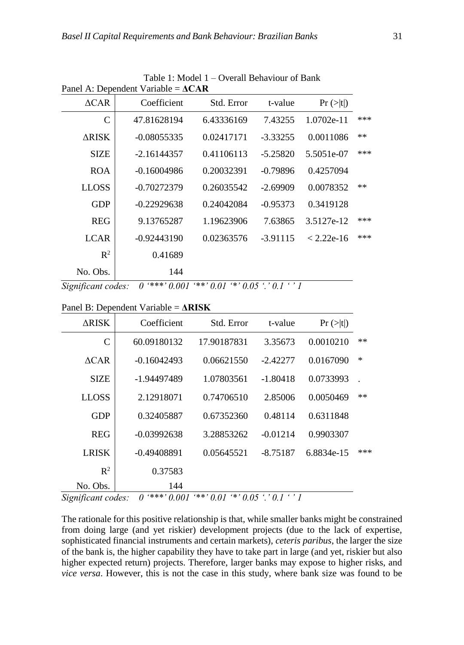|      | Pr(z t )     | t-value    | Std. Error | Coefficient   | $\triangle CAR$ |
|------|--------------|------------|------------|---------------|-----------------|
| ***  | 1.0702e-11   | 7.43255    | 6.43336169 | 47.81628194   | $\mathcal{C}$   |
| $**$ | 0.0011086    | $-3.33255$ | 0.02417171 | $-0.08055335$ | <b>ARISK</b>    |
| ***  | 5.5051e-07   | $-5.25820$ | 0.41106113 | $-2.16144357$ | <b>SIZE</b>     |
|      | 0.4257094    | $-0.79896$ | 0.20032391 | $-0.16004986$ | <b>ROA</b>      |
| $**$ | 0.0078352    | $-2.69909$ | 0.26035542 | $-0.70272379$ | <b>LLOSS</b>    |
|      | 0.3419128    | $-0.95373$ | 0.24042084 | $-0.22929638$ | <b>GDP</b>      |
| ***  | 3.5127e-12   | 7.63865    | 1.19623906 | 9.13765287    | <b>REG</b>      |
| ***  | $< 2.22e-16$ | $-3.91115$ | 0.02363576 | $-0.92443190$ | <b>LCAR</b>     |
|      |              |            |            | 0.41689       | $R^2$           |
|      |              |            |            | 144           | No. Obs.        |

Table 1: Model 1 – Overall Behaviour of Bank Panel A: Dependent Variable = **ΔCAR**

*Significant codes: 0 '\*\*\*' 0.001 '\*\*' 0.01 '\*' 0.05 '.' 0.1 ' ' 1*

Panel B: Dependent Variable = **ΔRISK**

| <b>ARISK</b>   | Coefficient   | Std. Error  | t-value    | $Pr (>=  t )$ |        |
|----------------|---------------|-------------|------------|---------------|--------|
| $\mathcal{C}$  | 60.09180132   | 17.90187831 | 3.35673    | 0.0010210     | $**$   |
| ACAR           | $-0.16042493$ | 0.06621550  | $-2.42277$ | 0.0167090     | $\ast$ |
| <b>SIZE</b>    | -1.94497489   | 1.07803561  | $-1.80418$ | 0.0733993     |        |
| <b>LLOSS</b>   | 2.12918071    | 0.74706510  | 2.85006    | 0.0050469     | $**$   |
| GDP            | 0.32405887    | 0.67352360  | 0.48114    | 0.6311848     |        |
| <b>REG</b>     | $-0.03992638$ | 3.28853262  | $-0.01214$ | 0.9903307     |        |
| <b>LRISK</b>   | $-0.49408891$ | 0.05645521  | $-8.75187$ | 6.8834e-15    | ***    |
| $\mathbb{R}^2$ | 0.37583       |             |            |               |        |
| No. Obs.       | 144           |             |            |               |        |

*Significant codes: 0 '\*\*\*' 0.001 '\*\*' 0.01 '\*' 0.05 '.' 0.1 ' ' 1*

The rationale for this positive relationship is that, while smaller banks might be constrained from doing large (and yet riskier) development projects (due to the lack of expertise, sophisticated financial instruments and certain markets), *ceteris paribus*, the larger the size of the bank is, the higher capability they have to take part in large (and yet, riskier but also higher expected return) projects. Therefore, larger banks may expose to higher risks, and *vice versa*. However, this is not the case in this study, where bank size was found to be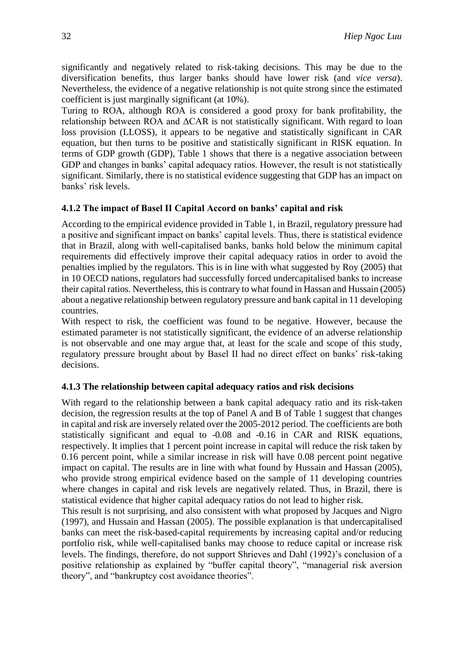significantly and negatively related to risk-taking decisions. This may be due to the diversification benefits, thus larger banks should have lower risk (and *vice versa*). Nevertheless, the evidence of a negative relationship is not quite strong since the estimated coefficient is just marginally significant (at 10%).

Turing to ROA, although ROA is considered a good proxy for bank profitability, the relationship between ROA and  $\Delta CAR$  is not statistically significant. With regard to loan loss provision (LLOSS), it appears to be negative and statistically significant in CAR equation, but then turns to be positive and statistically significant in RISK equation. In terms of GDP growth (GDP), Table 1 shows that there is a negative association between GDP and changes in banks' capital adequacy ratios. However, the result is not statistically significant. Similarly, there is no statistical evidence suggesting that GDP has an impact on banks' risk levels.

#### **4.1.2 The impact of Basel II Capital Accord on banks' capital and risk**

According to the empirical evidence provided in Table 1, in Brazil, regulatory pressure had a positive and significant impact on banks' capital levels. Thus, there is statistical evidence that in Brazil, along with well-capitalised banks, banks hold below the minimum capital requirements did effectively improve their capital adequacy ratios in order to avoid the penalties implied by the regulators. This is in line with what suggested by Roy (2005) that in 10 OECD nations, regulators had successfully forced undercapitalised banks to increase their capital ratios. Nevertheless, this is contrary to what found in Hassan and Hussain (2005) about a negative relationship between regulatory pressure and bank capital in 11 developing countries.

With respect to risk, the coefficient was found to be negative. However, because the estimated parameter is not statistically significant, the evidence of an adverse relationship is not observable and one may argue that, at least for the scale and scope of this study, regulatory pressure brought about by Basel II had no direct effect on banks' risk-taking decisions.

#### **4.1.3 The relationship between capital adequacy ratios and risk decisions**

With regard to the relationship between a bank capital adequacy ratio and its risk-taken decision, the regression results at the top of Panel A and B of Table 1 suggest that changes in capital and risk are inversely related over the 2005-2012 period. The coefficients are both statistically significant and equal to -0.08 and -0.16 in CAR and RISK equations, respectively. It implies that 1 percent point increase in capital will reduce the risk taken by 0.16 percent point, while a similar increase in risk will have 0.08 percent point negative impact on capital*.* The results are in line with what found by Hussain and Hassan (2005), who provide strong empirical evidence based on the sample of 11 developing countries where changes in capital and risk levels are negatively related. Thus, in Brazil, there is statistical evidence that higher capital adequacy ratios do not lead to higher risk.

This result is not surprising, and also consistent with what proposed by Jacques and Nigro (1997), and Hussain and Hassan (2005). The possible explanation is that undercapitalised banks can meet the risk-based-capital requirements by increasing capital and/or reducing portfolio risk, while well-capitalised banks may choose to reduce capital or increase risk levels. The findings, therefore, do not support Shrieves and Dahl (1992)'s conclusion of a positive relationship as explained by "buffer capital theory", "managerial risk aversion theory", and "bankruptcy cost avoidance theories".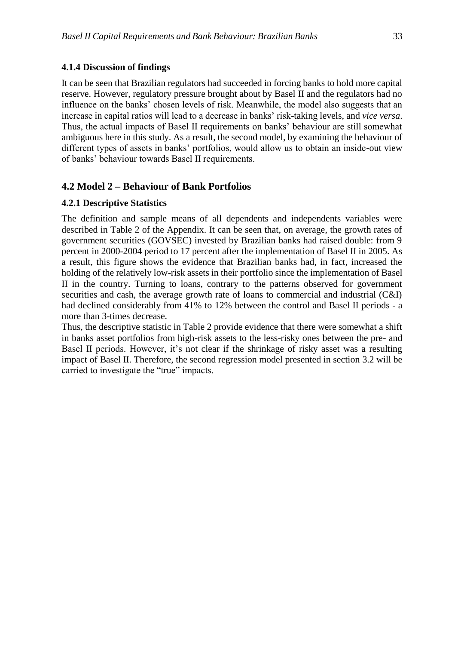#### **4.1.4 Discussion of findings**

It can be seen that Brazilian regulators had succeeded in forcing banks to hold more capital reserve. However, regulatory pressure brought about by Basel II and the regulators had no influence on the banks' chosen levels of risk. Meanwhile, the model also suggests that an increase in capital ratios will lead to a decrease in banks' risk-taking levels, and *vice versa*. Thus, the actual impacts of Basel II requirements on banks' behaviour are still somewhat ambiguous here in this study. As a result, the second model, by examining the behaviour of different types of assets in banks' portfolios, would allow us to obtain an inside-out view of banks' behaviour towards Basel II requirements.

## **4.2 Model 2 – Behaviour of Bank Portfolios**

#### **4.2.1 Descriptive Statistics**

The definition and sample means of all dependents and independents variables were described in Table 2 of the Appendix. It can be seen that, on average, the growth rates of government securities (GOVSEC) invested by Brazilian banks had raised double: from 9 percent in 2000-2004 period to 17 percent after the implementation of Basel II in 2005. As a result, this figure shows the evidence that Brazilian banks had, in fact, increased the holding of the relatively low-risk assets in their portfolio since the implementation of Basel II in the country. Turning to loans, contrary to the patterns observed for government securities and cash, the average growth rate of loans to commercial and industrial (C&I) had declined considerably from 41% to 12% between the control and Basel II periods - a more than 3-times decrease.

Thus, the descriptive statistic in Table 2 provide evidence that there were somewhat a shift in banks asset portfolios from high-risk assets to the less-risky ones between the pre- and Basel II periods. However, it's not clear if the shrinkage of risky asset was a resulting impact of Basel II. Therefore, the second regression model presented in section 3.2 will be carried to investigate the "true" impacts.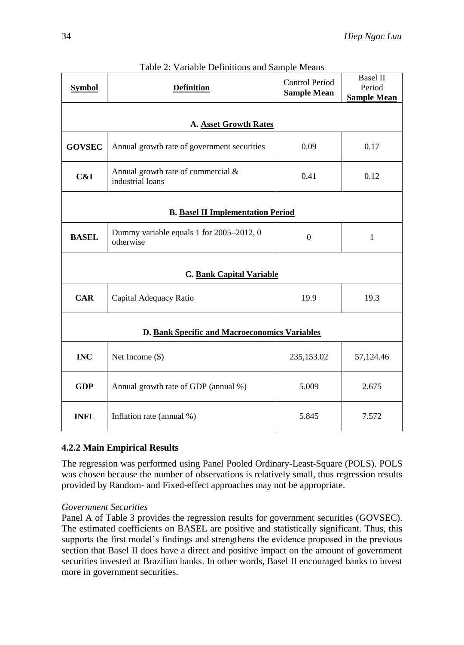| <b>Symbol</b>                                 | <b>Definition</b>                                      | <b>Control Period</b><br><b>Sample Mean</b> | <b>Basel II</b><br>Period<br><b>Sample Mean</b> |  |
|-----------------------------------------------|--------------------------------------------------------|---------------------------------------------|-------------------------------------------------|--|
|                                               | A. Asset Growth Rates                                  |                                             |                                                 |  |
| <b>GOVSEC</b>                                 | Annual growth rate of government securities            | 0.09                                        | 0.17                                            |  |
| C&I                                           | Annual growth rate of commercial &<br>industrial loans | 0.41                                        | 0.12                                            |  |
|                                               | <b>B.</b> Basel II Implementation Period               |                                             |                                                 |  |
| <b>BASEL</b>                                  | Dummy variable equals 1 for 2005-2012, 0<br>otherwise  | $\mathbf{0}$                                | $\mathbf{1}$                                    |  |
| C. Bank Capital Variable                      |                                                        |                                             |                                                 |  |
| <b>CAR</b>                                    | Capital Adequacy Ratio                                 | 19.9                                        | 19.3                                            |  |
| D. Bank Specific and Macroeconomics Variables |                                                        |                                             |                                                 |  |
| <b>INC</b>                                    | Net Income $(\$)$                                      | 235,153.02                                  | 57,124.46                                       |  |
| <b>GDP</b>                                    | Annual growth rate of GDP (annual %)                   | 5.009                                       | 2.675                                           |  |
| <b>INFL</b>                                   | Inflation rate (annual %)                              | 5.845                                       | 7.572                                           |  |

|  | Table 2: Variable Definitions and Sample Means |  |
|--|------------------------------------------------|--|
|  |                                                |  |

# **4.2.2 Main Empirical Results**

The regression was performed using Panel Pooled Ordinary-Least-Square (POLS). POLS was chosen because the number of observations is relatively small, thus regression results provided by Random- and Fixed-effect approaches may not be appropriate.

## *Government Securities*

Panel A of Table 3 provides the regression results for government securities (GOVSEC). The estimated coefficients on BASEL are positive and statistically significant. Thus, this supports the first model's findings and strengthens the evidence proposed in the previous section that Basel II does have a direct and positive impact on the amount of government securities invested at Brazilian banks. In other words, Basel II encouraged banks to invest more in government securities.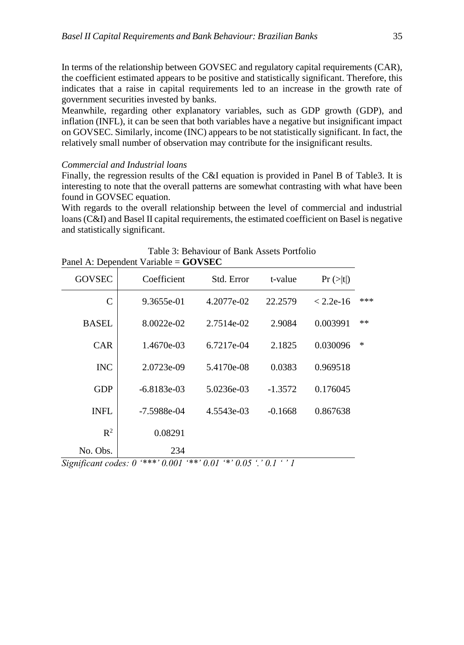In terms of the relationship between GOVSEC and regulatory capital requirements (CAR), the coefficient estimated appears to be positive and statistically significant. Therefore, this indicates that a raise in capital requirements led to an increase in the growth rate of government securities invested by banks.

Meanwhile, regarding other explanatory variables, such as GDP growth (GDP), and inflation (INFL), it can be seen that both variables have a negative but insignificant impact on GOVSEC. Similarly, income (INC) appears to be not statistically significant. In fact, the relatively small number of observation may contribute for the insignificant results.

#### *Commercial and Industrial loans*

Finally, the regression results of the C&I equation is provided in Panel B of Table3. It is interesting to note that the overall patterns are somewhat contrasting with what have been found in GOVSEC equation.

With regards to the overall relationship between the level of commercial and industrial loans (C&I) and Basel II capital requirements, the estimated coefficient on Basel is negative and statistically significant.

|                | $r$ allei A. Dependent variable – GO v $SEC$ |            |           |                       |        |
|----------------|----------------------------------------------|------------|-----------|-----------------------|--------|
| <b>GOVSEC</b>  | Coefficient                                  | Std. Error | t-value   | $Pr (>\vert t \vert)$ |        |
| $\mathsf{C}$   | 9.3655e-01                                   | 4.2077e-02 | 22.2579   | $< 2.2e-16$           | ***    |
| <b>BASEL</b>   | 8.0022e-02                                   | 2.7514e-02 | 2.9084    | 0.003991              | $**$   |
| <b>CAR</b>     | 1.4670e-03                                   | 6.7217e-04 | 2.1825    | 0.030096              | $\ast$ |
| <b>INC</b>     | 2.0723e-09                                   | 5.4170e-08 | 0.0383    | 0.969518              |        |
| <b>GDP</b>     | $-6.8183e-03$                                | 5.0236e-03 | $-1.3572$ | 0.176045              |        |
| <b>INFL</b>    | $-7.5988e-04$                                | 4.5543e-03 | $-0.1668$ | 0.867638              |        |
| $\mathbb{R}^2$ | 0.08291                                      |            |           |                       |        |
| No. Obs.       | 234                                          |            |           |                       |        |

| Table 3: Behaviour of Bank Assets Portfolio |  |
|---------------------------------------------|--|
| Panel A: Dependent Variable = $GOVSEC$      |  |

*Significant codes: 0 '\*\*\*' 0.001 '\*\*' 0.01 '\*' 0.05 '.' 0.1 ' ' 1*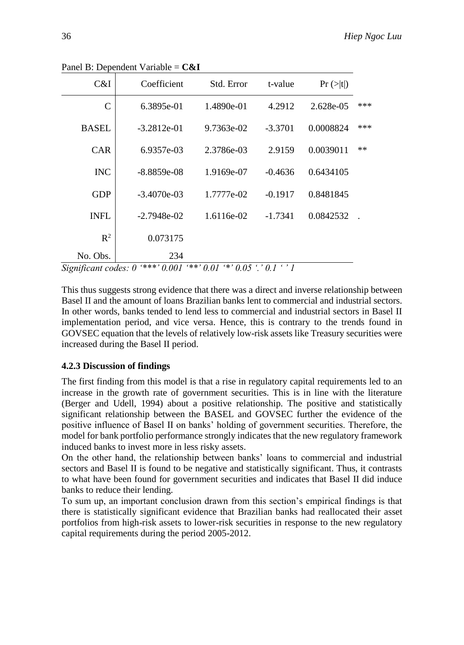| C&I          | Coefficient   | Std. Error | t-value   | Pr(z t )  |      |
|--------------|---------------|------------|-----------|-----------|------|
| $\mathsf{C}$ | 6.3895e-01    | 1.4890e-01 | 4.2912    | 2.628e-05 | ***  |
| <b>BASEL</b> | $-3.2812e-01$ | 9.7363e-02 | $-3.3701$ | 0.0008824 | ***  |
| <b>CAR</b>   | 6.9357e-03    | 2.3786e-03 | 2.9159    | 0.0039011 | $**$ |
| <b>INC</b>   | $-8.8859e-08$ | 1.9169e-07 | $-0.4636$ | 0.6434105 |      |
| <b>GDP</b>   | $-3.4070e-03$ | 1.7777e-02 | $-0.1917$ | 0.8481845 |      |
| <b>INFL</b>  | $-2.7948e-02$ | 1.6116e-02 | $-1.7341$ | 0.0842532 |      |
| $R^2$        | 0.073175      |            |           |           |      |
| No. Obs.     | 234           |            |           |           |      |

Panel B: Dependent Variable = **C&I**

*Significant codes: 0 '\*\*\*' 0.001 '\*\*' 0.01 '\*' 0.05 '.' 0.1 ' ' 1*

This thus suggests strong evidence that there was a direct and inverse relationship between Basel II and the amount of loans Brazilian banks lent to commercial and industrial sectors. In other words, banks tended to lend less to commercial and industrial sectors in Basel II implementation period, and vice versa. Hence, this is contrary to the trends found in GOVSEC equation that the levels of relatively low-risk assets like Treasury securities were increased during the Basel II period.

## **4.2.3 Discussion of findings**

The first finding from this model is that a rise in regulatory capital requirements led to an increase in the growth rate of government securities. This is in line with the literature (Berger and Udell, 1994) about a positive relationship. The positive and statistically significant relationship between the BASEL and GOVSEC further the evidence of the positive influence of Basel II on banks' holding of government securities. Therefore, the model for bank portfolio performance strongly indicates that the new regulatory framework induced banks to invest more in less risky assets.

On the other hand, the relationship between banks' loans to commercial and industrial sectors and Basel II is found to be negative and statistically significant. Thus, it contrasts to what have been found for government securities and indicates that Basel II did induce banks to reduce their lending.

To sum up, an important conclusion drawn from this section's empirical findings is that there is statistically significant evidence that Brazilian banks had reallocated their asset portfolios from high-risk assets to lower-risk securities in response to the new regulatory capital requirements during the period 2005-2012.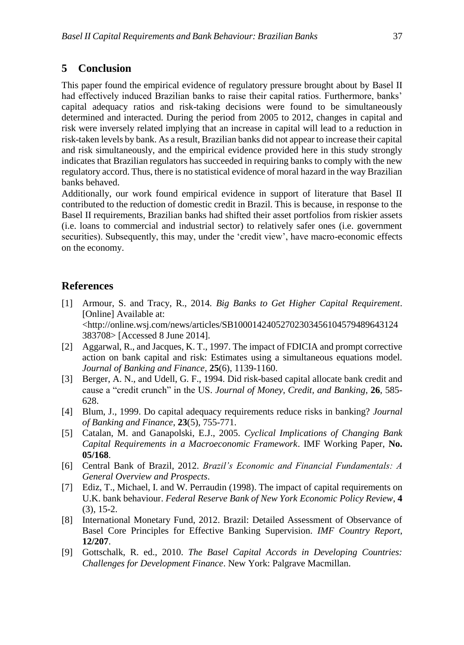# **5 Conclusion**

This paper found the empirical evidence of regulatory pressure brought about by Basel II had effectively induced Brazilian banks to raise their capital ratios. Furthermore, banks' capital adequacy ratios and risk-taking decisions were found to be simultaneously determined and interacted. During the period from 2005 to 2012, changes in capital and risk were inversely related implying that an increase in capital will lead to a reduction in risk-taken levels by bank. As a result, Brazilian banks did not appear to increase their capital and risk simultaneously, and the empirical evidence provided here in this study strongly indicates that Brazilian regulators has succeeded in requiring banks to comply with the new regulatory accord. Thus, there is no statistical evidence of moral hazard in the way Brazilian banks behaved.

Additionally, our work found empirical evidence in support of literature that Basel II contributed to the reduction of domestic credit in Brazil. This is because, in response to the Basel II requirements, Brazilian banks had shifted their asset portfolios from riskier assets (i.e. loans to commercial and industrial sector) to relatively safer ones (i.e. government securities). Subsequently, this may, under the 'credit view', have macro-economic effects on the economy.

# **References**

- [1] Armour, S. and Tracy, R., 2014. *Big Banks to Get Higher Capital Requirement*. [Online] Available at: <http://online.wsj.com/news/articles/SB10001424052702303456104579489643124 383708> [Accessed 8 June 2014].
- [2] Aggarwal, R., and Jacques, K. T., 1997. The impact of FDICIA and prompt corrective action on bank capital and risk: Estimates using a simultaneous equations model. *Journal of Banking and Finance*, **25**(6), 1139-1160.
- [3] Berger, A. N., and Udell, G. F., 1994. Did risk-based capital allocate bank credit and cause a "credit crunch" in the US. *Journal of Money, Credit, and Banking*, **26**, 585- 628.
- [4] Blum, J., 1999. Do capital adequacy requirements reduce risks in banking? *Journal of Banking and Finance*, **23**(5), 755-771.
- [5] Catalan, M. and Ganapolski, E.J., 2005. *Cyclical Implications of Changing Bank Capital Requirements in a Macroeconomic Framework*. IMF Working Paper, **No. 05/168**.
- [6] Central Bank of Brazil, 2012. *Brazil's Economic and Financial Fundamentals: A General Overview and Prospects*.
- [7] Ediz, T., Michael, I. and W. Perraudin (1998). The impact of capital requirements on U.K. bank behaviour. *Federal Reserve Bank of New York Economic Policy Review*, **4** (3), 15-2.
- [8] International Monetary Fund, 2012. Brazil: Detailed Assessment of Observance of Basel Core Principles for Effective Banking Supervision. *IMF Country Report*, **12/207**.
- [9] Gottschalk, R. ed., 2010. *The Basel Capital Accords in Developing Countries: Challenges for Development Finance*. New York: Palgrave Macmillan.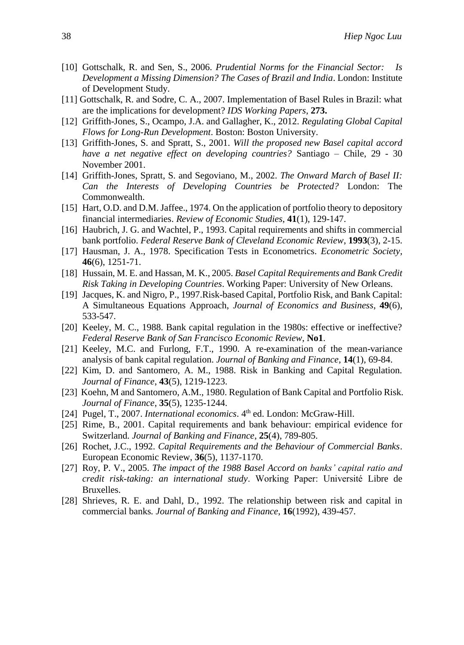- [10] Gottschalk, R. and Sen, S., 2006. *Prudential Norms for the Financial Sector: Is Development a Missing Dimension? The Cases of Brazil and India*. London: Institute of Development Study.
- [11] Gottschalk, R. and Sodre, C. A., 2007. Implementation of Basel Rules in Brazil: what are the implications for development? *IDS Working Papers*, **273.**
- [12] Griffith-Jones, S., Ocampo, J.A. and Gallagher, K., 2012. *Regulating Global Capital Flows for Long-Run Development*. Boston: Boston University.
- [13] Griffith-Jones, S. and Spratt, S., 2001. *Will the proposed new Basel capital accord have a net negative effect on developing countries?* Santiago – Chile, 29 - 30 November 2001.
- [14] Griffith-Jones, Spratt, S. and Segoviano, M., 2002. *The Onward March of Basel II: Can the Interests of Developing Countries be Protected?* London: The Commonwealth.
- [15] Hart, O.D. and D.M. Jaffee., 1974. On the application of portfolio theory to depository financial intermediaries. *Review of Economic Studies*, **41**(1), 129-147.
- [16] Haubrich, J. G. and Wachtel, P., 1993. Capital requirements and shifts in commercial bank portfolio. *Federal Reserve Bank of Cleveland Economic Review*, **1993**(3), 2-15.
- [17] Hausman, J. A., 1978. Specification Tests in Econometrics. *Econometric Society*, **46**(6), 1251-71.
- [18] Hussain, M. E. and Hassan, M. K., 2005. *Basel Capital Requirements and Bank Credit Risk Taking in Developing Countries*. Working Paper: University of New Orleans.
- [19] Jacques, K. and Nigro, P., 1997.Risk-based Capital, Portfolio Risk, and Bank Capital: A Simultaneous Equations Approach, *Journal of Economics and Business*, **49**(6), 533-547.
- [20] Keeley, M. C., 1988. Bank capital regulation in the 1980s: effective or ineffective? *Federal Reserve Bank of San Francisco Economic Review*, **No1**.
- [21] Keeley, M.C. and Furlong, F.T., 1990. A re-examination of the mean-variance analysis of bank capital regulation. *Journal of Banking and Finance*, **14**(1), 69-84.
- [22] Kim, D. and Santomero, A. M., 1988. Risk in Banking and Capital Regulation. *Journal of Finance*, **43**(5), 1219-1223.
- [23] Koehn, M and Santomero, A.M., 1980. Regulation of Bank Capital and Portfolio Risk. *Journal of Finance*, **35**(5), 1235-1244.
- [24] Pugel, T., 2007. *International economics*. 4<sup>th</sup> ed. London: McGraw-Hill.
- [25] Rime, B., 2001. Capital requirements and bank behaviour: empirical evidence for Switzerland*. Journal of Banking and Finance*, **25**(4), 789-805.
- [26] Rochet, J.C., 1992. *Capital Requirements and the Behaviour of Commercial Banks*. European Economic Review, **36**(5), 1137-1170.
- [27] Roy, P. V., 2005. *The impact of the 1988 Basel Accord on banks' capital ratio and credit risk-taking: an international study*. Working Paper: Université Libre de Bruxelles.
- [28] Shrieves, R. E. and Dahl, D., 1992. The relationship between risk and capital in commercial banks*. Journal of Banking and Finance*, **16**(1992), 439-457.